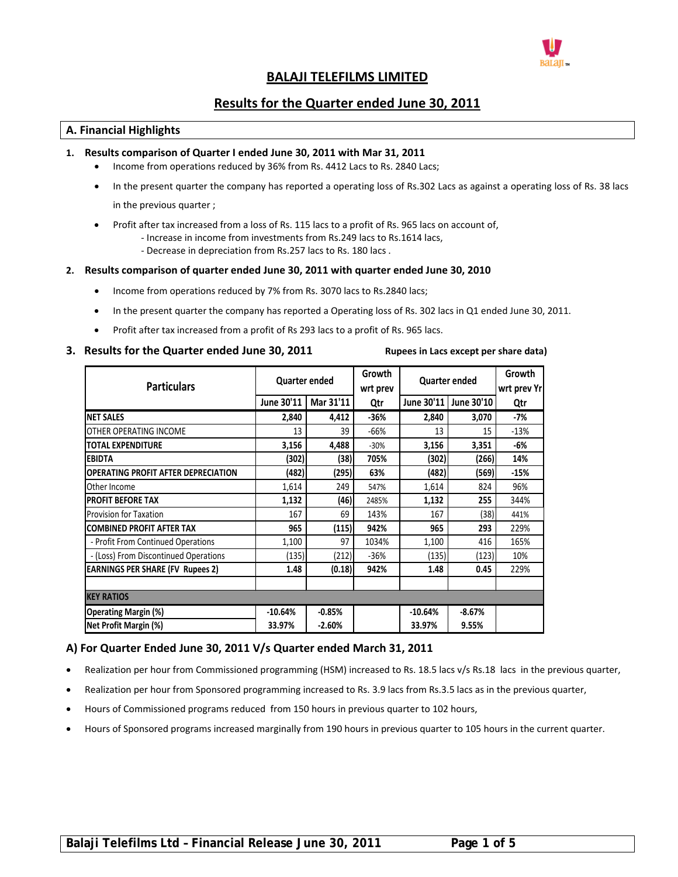

# **BALAJI TELEFILMS LIMITED**

# **Results for the Quarter ended June 30, 2011**

# **A. Financial Highlights**

#### **1. Results comparison of Quarter I ended June 30, 2011 with Mar 31, 2011**

- Income from operations reduced by 36% from Rs. 4412 Lacs to Rs. 2840 Lacs;
- In the present quarter the company has reported a operating loss of Rs.302 Lacs as against a operating loss of Rs. 38 lacs in the previous quarter ;
- Profit after tax increased from a loss of Rs. 115 lacs to a profit of Rs. 965 lacs on account of,
	- ‐ Increase in income from investments from Rs.249 lacs to Rs.1614 lacs,
		- ‐ Decrease in depreciation from Rs.257 lacs to Rs. 180 lacs .

#### **2. Results comparison of quarter ended June 30, 2011 with quarter ended June 30, 2010**

- Income from operations reduced by 7% from Rs. 3070 lacs to Rs.2840 lacs;
- In the present quarter the company has reported a Operating loss of Rs. 302 lacs in Q1 ended June 30, 2011.
- Profit after tax increased from a profit of Rs 293 lacs to a profit of Rs. 965 lacs.

# 3. Results for the Quarter ended June 30, 2011 Rupees in Lacs except per share data)

| <b>Particulars</b>                         | <b>Quarter ended</b> |           | Growth<br>wrt prev | <b>Quarter ended</b> |            | Growth<br>wrt prev Yr |  |  |  |
|--------------------------------------------|----------------------|-----------|--------------------|----------------------|------------|-----------------------|--|--|--|
|                                            | June 30'11           | Mar 31'11 | Qtr                | June 30'11           | June 30'10 | Qtr                   |  |  |  |
| <b>NET SALES</b>                           | 2,840                | 4,412     | $-36%$             | 2,840                | 3,070      | -7%                   |  |  |  |
| OTHER OPERATING INCOME                     | 13                   | 39        | $-66%$             | 13                   | 15         | $-13%$                |  |  |  |
| <b>TOTAL EXPENDITURE</b>                   | 3,156                | 4,488     | $-30%$             | 3,156                | 3,351      | -6%                   |  |  |  |
| <b>EBIDTA</b>                              | (302)                | (38)      | 705%               | (302)                | (266)      | 14%                   |  |  |  |
| <b>OPERATING PROFIT AFTER DEPRECIATION</b> | (482)                | (295)     | 63%                | (482)                | (569)      | $-15%$                |  |  |  |
| Other Income                               | 1,614                | 249       | 547%               | 1,614                | 824        | 96%                   |  |  |  |
| <b>PROFIT BEFORE TAX</b>                   | 1,132                | (46)      | 2485%              | 1,132                | 255        | 344%                  |  |  |  |
| <b>Provision for Taxation</b>              | 167                  | 69        | 143%               | 167                  | (38)       | 441%                  |  |  |  |
| <b>ICOMBINED PROFIT AFTER TAX</b>          | 965                  | (115)     | 942%               | 965                  | 293        | 229%                  |  |  |  |
| - Profit From Continued Operations         | 1,100                | 97        | 1034%              | 1,100                | 416        | 165%                  |  |  |  |
| - (Loss) From Discontinued Operations      | (135)                | (212)     | $-36%$             | (135)                | (123)      | 10%                   |  |  |  |
| <b>EARNINGS PER SHARE (FV Rupees 2)</b>    | 1.48                 | (0.18)    | 942%               | 1.48                 | 0.45       | 229%                  |  |  |  |
|                                            |                      |           |                    |                      |            |                       |  |  |  |
| <b>KEY RATIOS</b>                          |                      |           |                    |                      |            |                       |  |  |  |
| <b>Operating Margin (%)</b>                | $-10.64%$            | $-0.85%$  |                    | $-10.64%$            | $-8.67%$   |                       |  |  |  |
| Net Profit Margin (%)                      | 33.97%               | $-2.60%$  |                    | 33.97%               | 9.55%      |                       |  |  |  |

# **A) For Quarter Ended June 30, 2011 V/s Quarter ended March 31, 2011**

- Realization per hour from Commissioned programming (HSM) increased to Rs. 18.5 lacs v/s Rs.18 lacs in the previous quarter,
- Realization per hour from Sponsored programming increased to Rs. 3.9 lacs from Rs.3.5 lacs as in the previous quarter,
- Hours of Commissioned programs reduced from 150 hours in previous quarter to 102 hours,
- Hours of Sponsored programs increased marginally from 190 hours in previous quarter to 105 hours in the current quarter.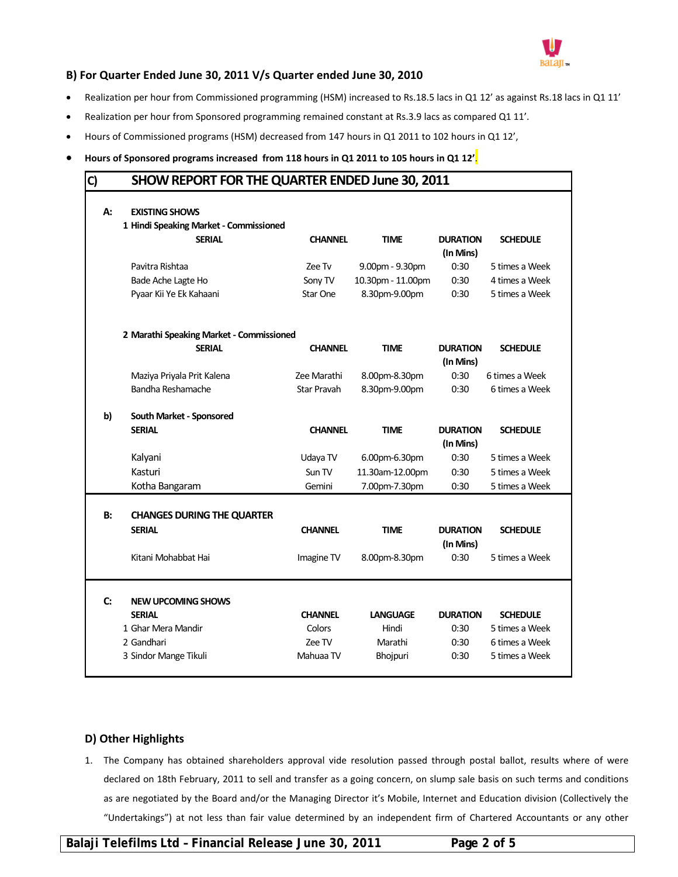

# **B) For Quarter Ended June 30, 2011 V/s Quarter ended June 30, 2010**

- Realization per hour from Commissioned programming (HSM) increased to Rs.18.5 lacs in Q1 12' as against Rs.18 lacs in Q1 11'
- Realization per hour from Sponsored programming remained constant at Rs.3.9 lacs as compared Q1 11'.
- Hours of Commissioned programs (HSM) decreased from 147 hours in Q1 2011 to 102 hours in Q1 12',
- **Hours of Sponsored programs increased from 118 hours in Q1 2011 to 105 hours in Q1 12'**.

| SHOW REPORT FOR THE QUARTER ENDED June 30, 2011<br>C) |                                                                 |                |                   |                              |                 |  |  |  |
|-------------------------------------------------------|-----------------------------------------------------------------|----------------|-------------------|------------------------------|-----------------|--|--|--|
| А:                                                    | <b>EXISTING SHOWS</b><br>1 Hindi Speaking Market - Commissioned |                |                   |                              |                 |  |  |  |
|                                                       | <b>SERIAL</b>                                                   | <b>CHANNEL</b> | <b>TIME</b>       | <b>DURATION</b><br>(In Mins) | <b>SCHEDULE</b> |  |  |  |
|                                                       | Pavitra Rishtaa                                                 | Zee Tv         | 9.00pm - 9.30pm   | 0:30                         | 5 times a Week  |  |  |  |
|                                                       | Bade Ache Lagte Ho                                              | Sony TV        | 10.30pm - 11.00pm | 0:30                         | 4 times a Week  |  |  |  |
|                                                       | Pyaar Kii Ye Ek Kahaani                                         | Star One       | 8.30pm-9.00pm     | 0:30                         | 5 times a Week  |  |  |  |
|                                                       | 2 Marathi Speaking Market - Commissioned                        |                |                   |                              |                 |  |  |  |
|                                                       | <b>SERIAL</b>                                                   | <b>CHANNEL</b> | <b>TIME</b>       | <b>DURATION</b><br>(In Mins) | <b>SCHEDULE</b> |  |  |  |
|                                                       | Maziya Priyala Prit Kalena                                      | Zee Marathi    | 8.00pm-8.30pm     | 0:30                         | 6 times a Week  |  |  |  |
|                                                       | Bandha Reshamache                                               | Star Pravah    | 8.30pm-9.00pm     | 0:30                         | 6 times a Week  |  |  |  |
| b)                                                    | South Market - Sponsored                                        |                |                   |                              |                 |  |  |  |
|                                                       | <b>SERIAL</b>                                                   | <b>CHANNEL</b> | <b>TIME</b>       | <b>DURATION</b><br>(In Mins) | <b>SCHEDULE</b> |  |  |  |
|                                                       | Kalyani                                                         | Udaya TV       | 6.00pm-6.30pm     | 0:30                         | 5 times a Week  |  |  |  |
|                                                       | Kasturi                                                         | Sun TV         | 11.30am-12.00pm   | 0:30                         | 5 times a Week  |  |  |  |
|                                                       | Kotha Bangaram                                                  | Gemini         | 7.00pm-7.30pm     | 0:30                         | 5 times a Week  |  |  |  |
| <b>B:</b>                                             | <b>CHANGES DURING THE QUARTER</b>                               |                |                   |                              |                 |  |  |  |
|                                                       | <b>SERIAL</b>                                                   | <b>CHANNEL</b> | <b>TIME</b>       | <b>DURATION</b><br>(In Mins) | <b>SCHEDULE</b> |  |  |  |
|                                                       | Kitani Mohabbat Hai                                             | Imagine TV     | 8.00pm-8.30pm     | 0:30                         | 5 times a Week  |  |  |  |
| C:                                                    | <b>NEW UPCOMING SHOWS</b>                                       |                |                   |                              |                 |  |  |  |
|                                                       | <b>SERIAL</b>                                                   | <b>CHANNEL</b> | <b>LANGUAGE</b>   | <b>DURATION</b>              | <b>SCHEDULE</b> |  |  |  |
|                                                       | 1 Ghar Mera Mandir                                              | Colors         | Hindi             | 0:30                         | 5 times a Week  |  |  |  |
|                                                       | 2 Gandhari                                                      | Zee TV         | Marathi           | 0:30                         | 6 times a Week  |  |  |  |
|                                                       | 3 Sindor Mange Tikuli                                           | Mahuaa TV      | <b>Bhojpuri</b>   | 0:30                         | 5 times a Week  |  |  |  |

# **D) Other Highlights**

1. The Company has obtained shareholders approval vide resolution passed through postal ballot, results where of were declared on 18th February, 2011 to sell and transfer as a going concern, on slump sale basis on such terms and conditions as are negotiated by the Board and/or the Managing Director it's Mobile, Internet and Education division (Collectively the "Undertakings") at not less than fair value determined by an independent firm of Chartered Accountants or any other

**Balaji Telefilms Ltd – Financial Release June 30, 2011 Page 2 of 5**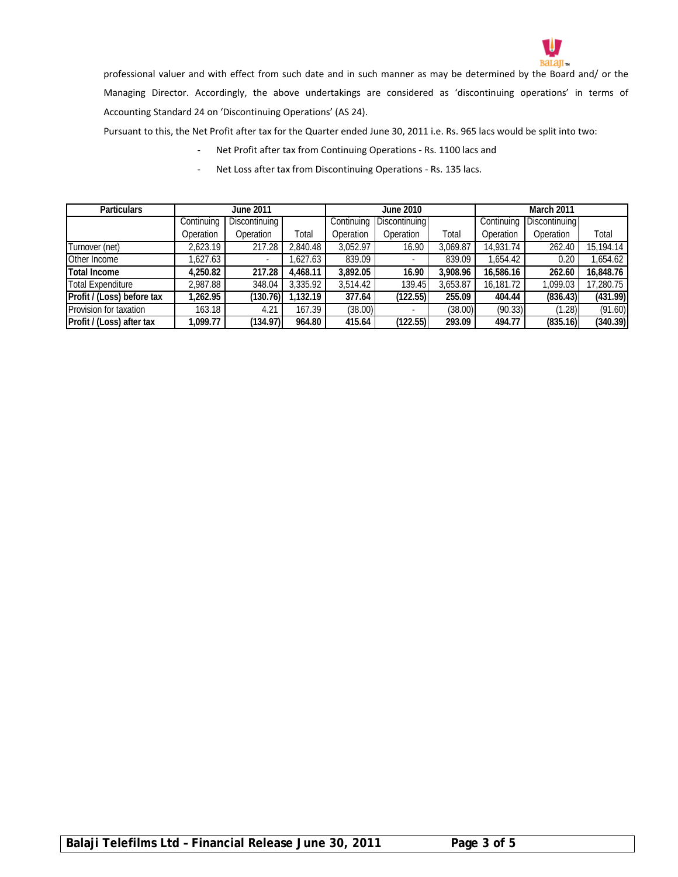

professional valuer and with effect from such date and in such manner as may be determined by the Board and/ or the Managing Director. Accordingly, the above undertakings are considered as 'discontinuing operations' in terms of Accounting Standard 24 on 'Discontinuing Operations' (AS 24).

Pursuant to this, the Net Profit after tax for the Quarter ended June 30, 2011 i.e. Rs. 965 lacs would be split into two:

- ‐ Net Profit after tax from Continuing Operations ‐ Rs. 1100 lacs and
- Net Loss after tax from Discontinuing Operations Rs. 135 lacs.

| <b>Particulars</b>         | June 2011  |                      |          | June 2010                   |                          |          | March 2011                  |           |           |
|----------------------------|------------|----------------------|----------|-----------------------------|--------------------------|----------|-----------------------------|-----------|-----------|
|                            | Continuing | <b>Discontinuing</b> |          | Discontinuing<br>Continuing |                          |          | Discontinuing<br>Continuing |           |           |
|                            | Operation  | Operation            | Total    | Operation                   | Operation                | Total    | Operation                   | Operation | Total     |
| Turnover (net)             | 2,623.19   | 217.28               | 2.840.48 | 3,052.97                    | 16.90                    | 3,069.87 | 14,931.74                   | 262.40    | 15,194.14 |
| Other Income               | ,627.63    |                      | .627.63  | 839.09                      | $\overline{\phantom{a}}$ | 839.09   | .654.42                     | 0.20      | 1,654.62  |
| <b>Total Income</b>        | 4,250.82   | 217.28               | 4,468.11 | 3,892.05                    | 16.90                    | 3,908.96 | 16,586.16                   | 262.60    | 16,848.76 |
| <b>Total Expenditure</b>   | 2,987.88   | 348.04               | 3,335.92 | 3,514.42                    | 139.45                   | 3,653.87 | 16,181.72                   | .099.03   | 7,280.75  |
| Profit / (Loss) before tax | 1,262.95   | (130.76)             | .132.19  | 377.64                      | (122.55)                 | 255.09   | 404.44                      | (836.43)  | (431.99)  |
| Provision for taxation     | 163.18     | 4.21                 | 167.39   | (38.00)                     |                          | (38.00)  | (90.33)                     | (1.28)    | (91.60)   |
| Profit / (Loss) after tax  | ,099.77    | (134.97)             | 964.80   | 415.64                      | (122.55)                 | 293.09   | 494.77                      | (835.16)  | (340.39)  |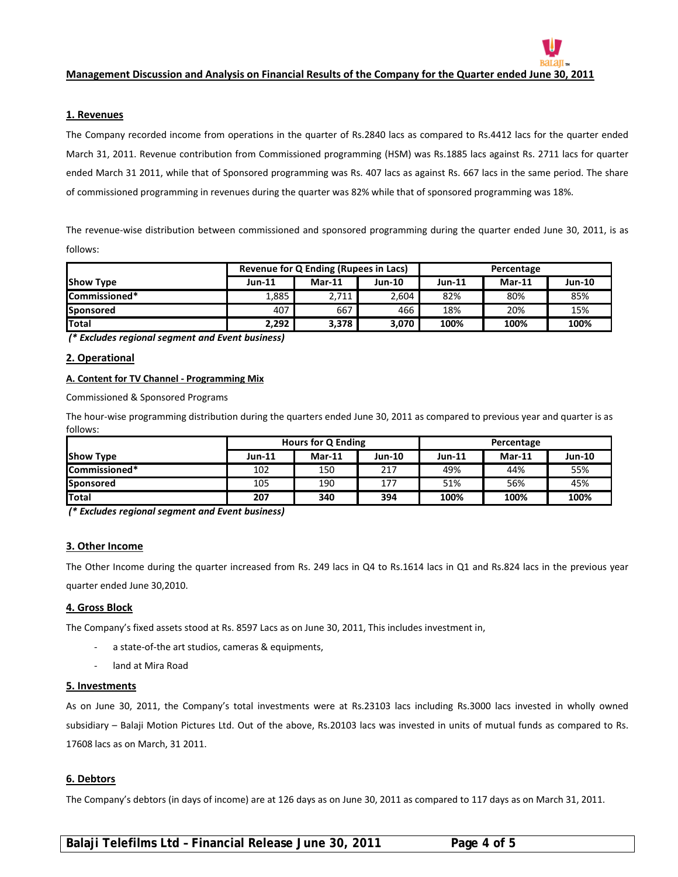

### **1. Revenues**

The Company recorded income from operations in the quarter of Rs.2840 lacs as compared to Rs.4412 lacs for the quarter ended March 31, 2011. Revenue contribution from Commissioned programming (HSM) was Rs.1885 lacs against Rs. 2711 lacs for quarter ended March 31 2011, while that of Sponsored programming was Rs. 407 lacs as against Rs. 667 lacs in the same period. The share of commissioned programming in revenues during the quarter was 82% while that of sponsored programming was 18%.

The revenue‐wise distribution between commissioned and sponsored programming during the quarter ended June 30, 2011, is as follows:

|                       |               | <b>Revenue for Q Ending (Rupees in Lacs)</b> |        | Percentage    |          |               |  |
|-----------------------|---------------|----------------------------------------------|--------|---------------|----------|---------------|--|
| <b>Show Type</b>      | <b>Jun-11</b> | $Mar-11$                                     | Jun-10 | <b>Jun-11</b> | $Mar-11$ | <b>Jun-10</b> |  |
| <b>ICommissioned*</b> | 1,885         | 2,711                                        | 2,604  | 82%           | 80%      | 85%           |  |
| <b>Sponsored</b>      | 407           | 667                                          | 466    | 18%           | 20%      | 15%           |  |
| <b>Total</b>          | 2,292         | 3,378                                        | 3,070  | 100%          | 100%     | 100%          |  |

*(\* Excludes regional segment and Event business)*

#### **2. Operational**

#### **A. Content for TV Channel ‐ Programming Mix**

Commissioned & Sponsored Programs

The hour‐wise programming distribution during the quarters ended June 30, 2011 as compared to previous year and quarter is as follows:

|                  |          | Hours for Q Ending |        | Percentage |          |               |  |
|------------------|----------|--------------------|--------|------------|----------|---------------|--|
| <b>Show Type</b> | $Jun-11$ | $Mar-11$           | Jun-10 | $Jun-11$   | $Mar-11$ | <b>Jun-10</b> |  |
| Commissioned*    | 102      | 150                | 217    | 49%        | 44%      | 55%           |  |
| <b>Sponsored</b> | 105      | 190                | 177    | 51%        | 56%      | 45%           |  |
| <b>Total</b>     | 207      | 340                | 394    | 100%       | 100%     | 100%          |  |

*(\* Excludes regional segment and Event business)*

#### **3. Other Income**

The Other Income during the quarter increased from Rs. 249 lacs in Q4 to Rs.1614 lacs in Q1 and Rs.824 lacs in the previous year quarter ended June 30,2010.

#### **4. Gross Block**

The Company's fixed assets stood at Rs. 8597 Lacs as on June 30, 2011, This includes investment in,

- ‐ a state‐of‐the art studios, cameras & equipments,
- land at Mira Road

#### **5. Investments**

As on June 30, 2011, the Company's total investments were at Rs.23103 lacs including Rs.3000 lacs invested in wholly owned subsidiary – Balaji Motion Pictures Ltd. Out of the above, Rs.20103 lacs was invested in units of mutual funds as compared to Rs. 17608 lacs as on March, 31 2011.

#### **6. Debtors**

The Company's debtors (in days of income) are at 126 days as on June 30, 2011 as compared to 117 days as on March 31, 2011.